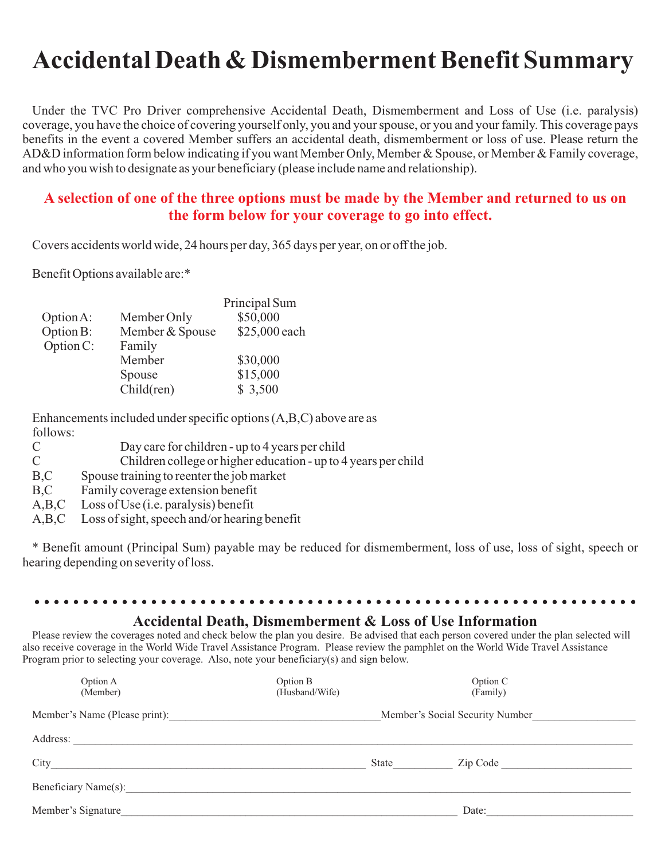# **Accidental Death & Dismemberment Benefit Summary**

Under the TVC Pro Driver comprehensive Accidental Death, Dismemberment and Loss of Use (i.e. paralysis) coverage, you have the choice of covering yourself only, you and your spouse, or you and your family. This coverage pays benefits in the event a covered Member suffers an accidental death, dismemberment or loss of use. Please return the AD&D information form below indicating if you want Member Only, Member & Spouse, or Member & Family coverage, and who you wish to designate as your beneficiary (please include name and relationship).

### **A selection of one of the three options must be made by the Member and returned to us on the form below for your coverage to go into effect.**

Covers accidents world wide, 24 hours per day, 365 days per year, on or off the job.

Benefit Options available are:\*

|           |                 | Principal Sum |
|-----------|-----------------|---------------|
| Option A: | Member Only     | \$50,000      |
| Option B: | Member & Spouse | \$25,000 each |
| Option C: | Family          |               |
|           | Member          | \$30,000      |
|           | Spouse          | \$15,000      |
|           | Child(ren)      | \$3,500       |
|           |                 |               |

Enhancements included under specific options (A,B,C) above are as follows:

|  | Day care for children - up to 4 years per child |
|--|-------------------------------------------------|
|--|-------------------------------------------------|

C Children college or higher education - up to 4 years per child

- B,C Spouse training to reenter the job market
- B,C Family coverage extension benefit
- A,B,C Loss of Use (i.e. paralysis) benefit<br>A,B,C Loss of sight, speech and/or hearin
- Loss of sight, speech and/or hearing benefit

\* Benefit amount (Principal Sum) payable may be reduced for dismemberment, loss of use, loss of sight, speech or hearing depending on severity of loss.

#### **Accidental Death, Dismemberment & Loss of Use Information**

..............................................................

Please review the coverages noted and check below the plan you desire. Be advised that each person covered under the plan selected will also receive coverage in the World Wide Travel Assistance Program. Please review the pamphlet on the World Wide Travel Assistance Program prior to selecting your coverage. Also, note your beneficiary(s) and sign below.

| Option A<br>(Member)          | Option B<br>(Husband/Wife) |       | Option C<br>(Family)            |  |
|-------------------------------|----------------------------|-------|---------------------------------|--|
| Member's Name (Please print): |                            |       | Member's Social Security Number |  |
| Address:                      |                            |       |                                 |  |
| City                          |                            | State | Zip Code                        |  |
| Beneficiary Name(s):          |                            |       |                                 |  |
| Member's Signature            |                            |       | Date:                           |  |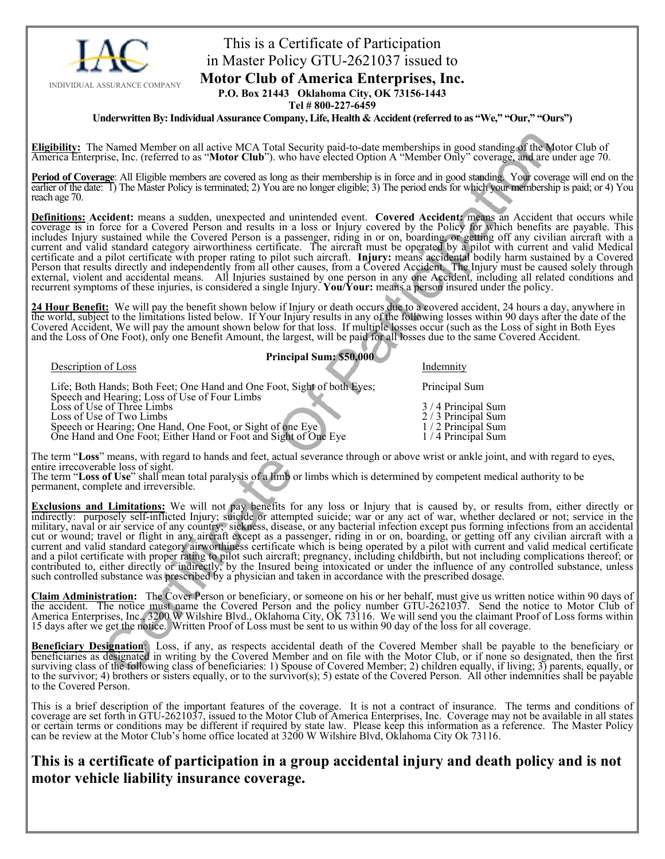

### This is a Certificate of Participation in Master Policy GTU-2621037 issued to **Motor Club of America Enterprises, Inc.**

**P.O. Box 21443 Oklahoma City, OK 73156-1443** 

**Tel # 800-227-6459** 

**Underwritten By: Individual Assurance Company, Life, Health & Accident (referred to as "We," "Our," "Ours")** 

Eligibility: The Named Member on all active MCA Total Security paid-to-date memberships in good standing of the Motor Club of America Enterprise, Inc. (referred to as "Motor Club"). who have elected Option A "Member Only"

**Period of Coverage**: All Eligible members are covered as long as their membership is in force and in good standing. Your coverage will end on the earlier of the date: 1) The Master Policy is terminated; 2) You are no longer eligible; 3) The period ends for which your membership is paid; or 4) You reach age 70.

**Definitions: Accident:** means a sudden, unexpected and unintended event. **Covered Accident:** means an Accident that occurs while coverage is in force for a Covered Person and results in a loss or Injury covered by the Policy for which benefits are payable. This includes Injury sustained while the Covered Person is a passenger, riding in or on, boarding, or getting off any civilian aircraft with a current and valid standard category airworthiness certificate. The aircraft must be operated by a pilot with current and valid Medical certificate and a pilot certificate with proper rating to pilot such aircraft. **Injury:** means accidental bodily harm sustained by a Covered Person that results directly and independently from all other causes, from a Covered Accident. The Injury must be caused solely through<br>external, violent and accidental means. All Injuries sustained by one person in any on recurrent symptoms of these injuries, is considered a single Injury. **You/Your:** means a person insured under the policy.

24 Hour Benefit: We will pay the benefit shown below if Injury or death occurs due to a covered accident, 24 hours a day, anywhere in the world, subject to the limitations listed below. If Your Injury results in any of the Covered Accident, We will pay the amount shown below for that loss. If multiple losses occur (such as the Loss of sight in Both Eyes and the Loss of One Foot), only one Benefit Amount, the largest, will be paid for all losses due to the same Covered Accident.

### **Principal Sum: \$50,000 Description of Loss Indemnity**

| Description of Loss                                                                                                           | <i>HIGGHHHIV</i>  |
|-------------------------------------------------------------------------------------------------------------------------------|-------------------|
| Life; Both Hands; Both Feet; One Hand and One Foot, Sight of both Eyes;                                                       | Principal Sum     |
| Speech and Hearing; Loss of Use of Four Limbs                                                                                 |                   |
| Loss of Use of Three Limbs                                                                                                    | 3/4 Principal Sum |
| Loss of Use of Two Limbs                                                                                                      | 2/3 Principal Sum |
|                                                                                                                               | 1/2 Principal Sum |
| Speech or Hearing; One Hand, One Foot, or Sight of one Eye<br>One Hand and One Foot; Either Hand or Foot and Sight of One Eye | 1/4 Principal Sum |
|                                                                                                                               |                   |

The term "**Loss**" means, with regard to hands and feet, actual severance through or above wrist or ankle joint, and with regard to eyes, entire irrecoverable loss of sight.

The term "**Loss of Use**" shall mean total paralysis of a limb or limbs which is determined by competent medical authority to be permanent, complete and irreversible.

**Exclusions and Limitations:** We will not pay benefits for any loss or Injury that is caused by, or results from, either directly or indirectly: purposely self-inflicted Injury; suicide or attempted suicide; war or any act of war, whether declared or not; service in the military, naval or air service of any country; sickness, disease, or any bacterial infection except pus forming infections from an accidental cut or wound; travel or flight in any aircraft except as a passenger, riding in or on, boarding, or getting off any civilian aircraft with a current and valid standard category airworthiness certificate which is being operated by a pilot with current and valid medical certificate and a pilot certificate with proper rating to pilot such aircraft; pregnancy, including childbirth, but not including complications thereof; or contributed to, either directly or indirectly, by the Insured being intoxicated or under the influence of any controlled substance, unless such controlled substance was prescribed by a physician and taken in accordance with the prescribed dosage.

Claim Administration: The Cover Person or beneficiary, or someone on his or her behalf, must give us written notice within 90 days of the accident. The notice must name the Covered Person and the policy number GTU-2621037. America Enterprises, Inc., 3200 W Wilshire Blvd., Oklahoma City, OK 73116. We will send you the claimant Proof of Loss forms within 15 days after we get the notice. Written Proof of Loss must be sent to us within 90 day of the loss for all coverage.

Beneficiary Designation: Loss, if any, as respects accidental death of the Covered Member shall be payable to the beneficiary or<br>beneficiaries as designated in writing by the Covered Member and on file with the Motor Club, surviving class of the following class of beneficiaries: 1) Spouse of Covered Member; 2) children equally, if living; 3) parents, equally, or to the survivor; 4) brothers or sisters equally, or to the survivor(s); 5) estate of the Covered Person. All other indemnities shall be payable to the Covered Person.

This is a brief description of the important features of the coverage. It is not a contract of insurance. The terms and conditions of coverage are set forth in GTU-2621037, issued to the Motor Club of America Enterprises, Inc. Coverage may not be available in all states or certain terms or conditions may be different if required by state law. Please keep this information as a reference. The Master Policy can be review at the Motor Club's home office located at 3200 W Wilshire Blvd, Oklahoma City Ok 73116.

### **This is a certificate of participation in a group accidental injury and death policy and is not motor vehicle liability insurance coverage.**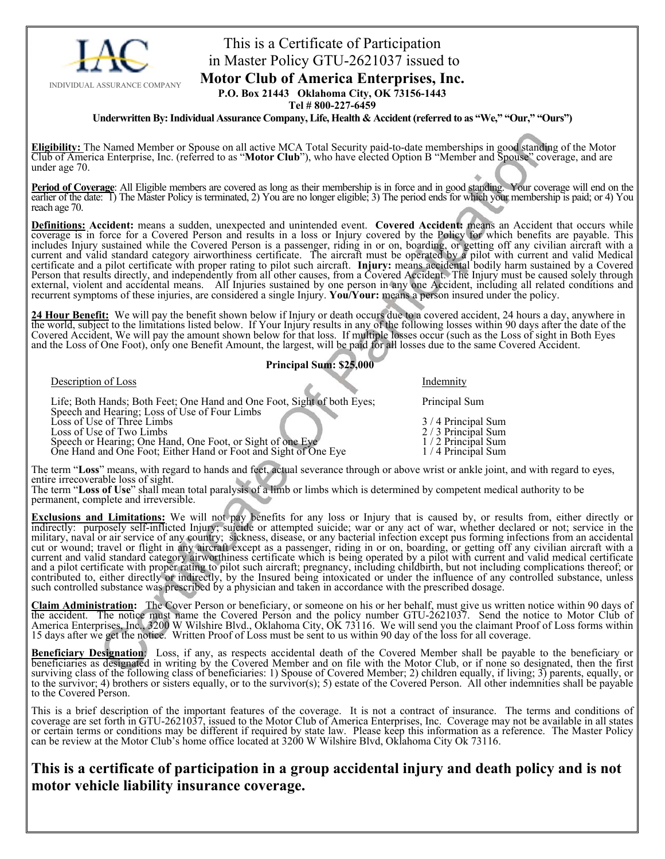

## This is a Certificate of Participation in Master Policy GTU-2621037 issued to

### **Motor Club of America Enterprises, Inc.**

**P.O. Box 21443 Oklahoma City, OK 73156-1443 Tel # 800-227-6459** 

**Underwritten By: Individual Assurance Company, Life, Health & Accident (referred to as "We," "Our," "Ours")** 

Eligibility: The Named Member or Spouse on all active MCA Total Security paid-to-date memberships in good standing of the Motor<br>Club of America Enterprise, Inc. (referred to as "Motor Club"), who have elected Option B "Mem under age 70.

**Period of Coverage**: All Eligible members are covered as long as their membership is in force and in good standing. Your coverage will end on the earlier of the date: 1) The Master Policy is terminated, 2) You are no longer eligible; 3) The period ends for which your membership is paid; or 4) You reach age 70.

**Definitions: Accident:** means a sudden, unexpected and unintended event. **Covered Accident:** means an Accident that occurs while coverage is in force for a Covered Person and results in a loss or Injury covered by the Policy for which benefits are payable. This includes Injury sustained while the Covered Person is a passenger, riding in or on, boarding, or getting off any civilian aircraft with a current and valid standard category airworthiness certificate. The aircraft must be operated by a pilot with current and valid Medical certificate and a pilot certificate with proper rating to pilot such aircraft. **Injury:** means accidental bodily harm sustained by a Covered<br>Person that results directly, and independently from all other causes, from a Cov external, violent and accidental means. All Injuries sustained by one person in any one Accident, including all related conditions and recurrent symptoms of these injuries, are considered a single Injury. **You/Your:** means a person insured under the policy.

24 Hour Benefit: We will pay the benefit shown below if Injury or death occurs due to a covered accident, 24 hours a day, anywhere in the world, subject to the limitations listed below. If Your Injury results in any of the following losses within 90 days after the date of the Covered Accident, We will pay the amount shown below for that loss. If multiple losses occur (such as the Loss of sight in Both Eyes and the Loss of One Foot), only one Benefit Amount, the largest, will be paid for all los

#### **Principal Sum: \$25,000**

Description of Loss Indemnity

 Life; Both Hands; Both Feet; One Hand and One Foot, Sight of both Eyes; Principal Sum Speech and Hearing; Loss of Use of Four Limbs Loss of Use of Three Limbs 3 / 4 Principal Sum<br>
Loss of Use of Two Limbs 3 / 4 Principal Sum<br>
2 / 3 Principal Sum Loss of Use of Two Limbs<br>
Speech or Hearing; One Hand, One Foot, or Sight of one Eye 1/2 Principal Sum<br>
1/2 Principal Sum Speech or Hearing; One Hand, One Foot, or Sight of one Eye 1/2 Principal Sum One Hand and One Foot; Either Hand or Foot and Sight of One Eye 1/4 Principal Sum

The term "**Loss**" means, with regard to hands and feet, actual severance through or above wrist or ankle joint, and with regard to eyes, entire irrecoverable loss of sight.

The term "**Loss of Use**" shall mean total paralysis of a limb or limbs which is determined by competent medical authority to be permanent, complete and irreversible.

**Exclusions and Limitations:** We will not pay benefits for any loss or Injury that is caused by, or results from, either directly or indirectly: purposely self-inflicted Injury; suicide or attempted suicide; war or any act military, naval or air service of any country; sickness, disease, or any bacterial infection except pus forming infections from an accidental cut or wound; travel or flight in any aircraft except as a passenger, riding in or on, boarding, or getting off any civilian aircraft with a current and valid standard category airworthiness certificate which is being operated by a pilot with current and valid medical certificate and a pilot certificate with proper rating to pilot such aircraft; pregnancy, including childbirth, but not including complications thereof; or contributed to, either directly or indirectly, by the Insured being intoxicated or under the influence of any controlled substance, unless such controlled substance was prescribed by a physician and taken in accordance with the prescribed dosage.

Claim Administration: The Cover Person or beneficiary, or someone on his or her behalf, must give us written notice within 90 days of the accident. The notice must name the Covered Person and the policy number GTU-2621037. America Enterprises, Inc., 3200 W Wilshire Blvd., Oklahoma City, OK 73116. We will send you the claimant Proof of Loss forms within 15 days after we get the notice. Written Proof of Loss must be sent to us within 90 day of the loss for all coverage.

Beneficiary Designation: Loss, if any, as respects accidental death of the Covered Member shall be payable to the beneficiary or beneficiaries as designated in writing by the Covered Member and on file with the Motor Club, surviving class of the following class of beneficiaries: 1) Spouse of Covered Member; 2) children equally, if living; 3) parents, equally, or to the survivor; 4) brothers or sisters equally, or to the survivor(s); 5) estat

This is a brief description of the important features of the coverage. It is not a contract of insurance. The terms and conditions of coverage are set forth in GTU-2621037, issued to the Motor Club of America Enterprises, Inc. Coverage may not be available in all states or certain terms or conditions may be different if required by state law. Please keep this information as a reference. The Master Policy<br>can be review at the Motor Club's home office located at 3200 W Wilshire Blvd, Oklaho

### **This is a certificate of participation in a group accidental injury and death policy and is not motor vehicle liability insurance coverage.**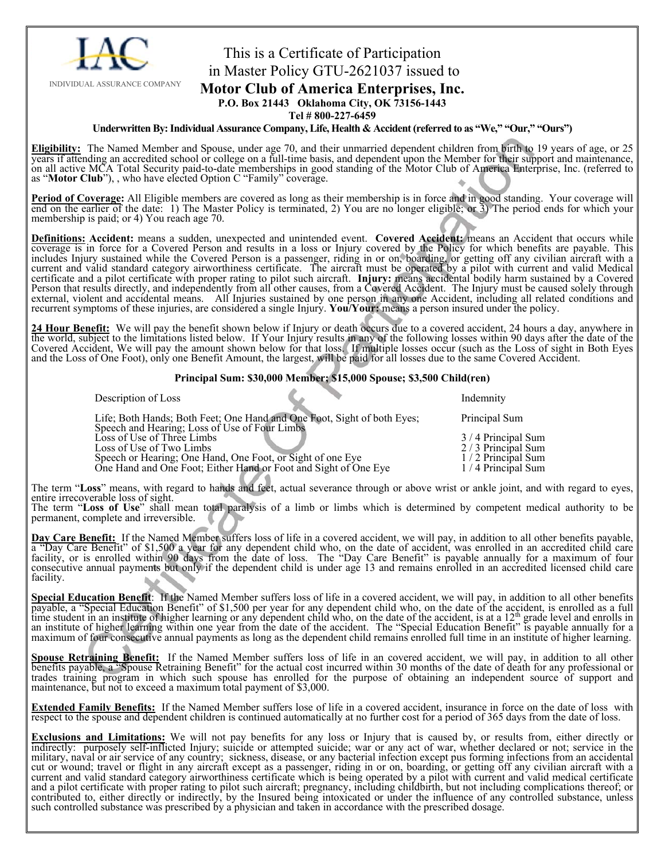

### This is a Certificate of Participation in Master Policy GTU-2621037 issued to

#### **Motor Club of America Enterprises, Inc.**

**P.O. Box 21443 Oklahoma City, OK 73156-1443** 

**Tel # 800-227-6459** 

#### **Underwritten By: Individual Assurance Company, Life, Health & Accident (referred to as "We," "Our," "Ours")**

Eligibility: The Named Member and Spouse, under age 70, and their unmarried dependent children from birth to 19 years of age, or 25 years if attending an accredited school or college on a full-time basis, and dependent upo on all active MCA Total Security paid-to-date memberships in good standing of the Motor Club of America Enterprise, Inc. (referred to as "**Motor Club**"), , who have elected Option C "Family" coverage.

**Period of Coverage:** All Eligible members are covered as long as their membership is in force and in good standing. Your coverage will end on the earlier of the date: 1) The Master Policy is terminated, 2) You are no longer eligible; or 3) The period ends for which your membership is paid; or 4) You reach age 70.

**Definitions: Accident:** means a sudden, unexpected and unintended event. **Covered Accident:** means an Accident that occurs while coverage is in force for a Covered Person and results in a loss or Injury covered by the Policy for which benefits are payable. This includes Injury sustained while the Covered Person is a passenger, riding in or on, boarding, or getting off any civilian aircraft with a current and valid standard category airworthiness certificate. The aircraft must be operated by a pilot with current and valid Medical certificate and a pilot certificate with proper rating to pilot such aircraft. **Injury:** means accidental bodily harm sustained by a Covered<br>Person that results directly, and independently from all other causes, from a Cov external, violent and accidental means. All Injuries sustained by one person in any one Accident, including all related conditions and recurrent symptoms of these injuries, are considered a single Injury. **You/Your:** means a person insured under the policy.

24 Hour Benefit: We will pay the benefit shown below if Injury or death occurs due to a covered accident, 24 hours a day, anywhere in the world, subject to the limitations listed below. If Your Injury results in any of the Covered Accident, We will pay the amount shown below for that loss. If multiple losses occur (such as the Loss of sight in Both Eyes and the Loss of One Foot), only one Benefit Amount, the largest, will be paid for all losses due to the same Covered Accident.

#### **Principal Sum: \$30,000 Member; \$15,000 Spouse; \$3,500 Child(ren)**

| Life; Both Hands; Both Feet; One Hand and One Foot, Sight of both Eyes;                                                                                                                                                                  | Principal Sum                                                                    |
|------------------------------------------------------------------------------------------------------------------------------------------------------------------------------------------------------------------------------------------|----------------------------------------------------------------------------------|
| Speech and Hearing; Loss of Use of Four Limbs<br>Loss of Use of Three Limbs<br>Loss of Use of Two Limbs<br>Speech or Hearing; One Hand, One Foot, or Sight of one Eye<br>One Hand and One Foot; Either Hand or Foot and Sight of One Eye | 3/4 Principal Sum<br>2/3 Principal Sum<br>1/2 Principal Sum<br>1/4 Principal Sum |

The term "**Loss**" means, with regard to hands and feet, actual severance through or above wrist or ankle joint, and with regard to eyes, entire irrecoverable loss of sight.

The term "**Loss of Use**" shall mean total paralysis of a limb or limbs which is determined by competent medical authority to be permanent, complete and irreversible.

Day Care Benefit: If the Named Member suffers loss of life in a covered accident, we will pay, in addition to all other benefits payable, a "Day Care Benefit" of \$1,500 a year for any dependent child who, on the date of ac facility, or is enrolled within 90 days from the date of loss. The "Day Care Benefit" is payable annually for a maximum of four consecutive annual payments but only if the dependent child is under age 13 and remains enrolled in an accredited licensed child care facility.

**Special Education Benefit**: If the Named Member suffers loss of life in a covered accident, we will pay, in addition to all other benefits payable, a "Special Education Benefit" of \$1,500 per year for any dependent child who, on the date of the accident, is enrolled as a full time student in an institute of higher learning or any dependent child who, on the date of the accident, is at a 12<sup>th</sup> grade level and enrolls in<br>an institute of higher learning within one year from the date of the accide maximum of four consecutive annual payments as long as the dependent child remains enrolled full time in an institute of higher learning.

**Spouse Retraining Benefit:** If the Named Member suffers loss of life in an covered accident, we will pay, in addition to all other benefits payable, a "Spouse Retraining Benefit" for the actual cost incurred within 30 months of the date of death for any professional or trades training program in which such spouse has enrolled for the purpose of obtaining an independent source of support and maintenance, but not to exceed a maximum total payment of \$3,000.

**Extended Family Benefits:** If the Named Member suffers lose of life in a covered accident, insurance in force on the date of loss with respect to the spouse and dependent children is continued automatically at no further cost for a period of 365 days from the date of loss.

**Exclusions and Limitations:** We will not pay benefits for any loss or Injury that is caused by, or results from, either directly or indirectly: purposely self-inflicted Injury; suicide or attempted suicide; war or any act military, naval or air service of any country; sickness, disease, or any bacterial infection except pus forming infections from an accidental cut or wound; travel or flight in any aircraft except as a passenger, riding in or on, boarding, or getting off any civilian aircraft with a current and valid standard category airworthiness certificate which is being operated by a pilot with current and valid medical certificate and a pilot certificate with proper rating to pilot such aircraft; pregnancy, including childbirth, but not including complications thereof; or contributed to, either directly or indirectly, by the Insured being intoxicated or under the influence of any controlled substance, unless such controlled substance was prescribed by a physician and taken in accordance with the prescribed dosage.